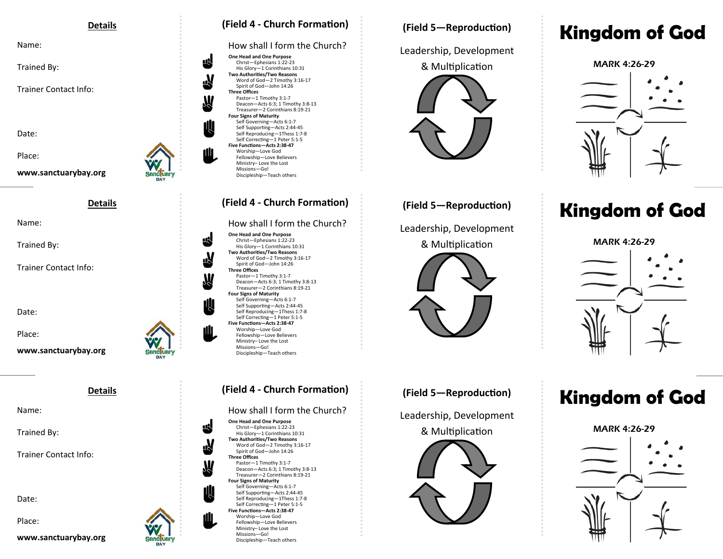#### **Details**

Name:

Trained By:

Trainer Contact Info:

Date:

Place:

**www.sanctuarybay.org** 

**Details** 

Name:

Trained By:

Trainer Contact Info:

Date:

Place:

**www.sanctuarybay.org** 

**Details** 

Name:

Trained By:

Trainer Contact Info:

Date:

Place:

**www.sanctuarybay.org** 

Sanc Liarv **BAY** 



### How shall I form the Church?

**One Head and One Purpose**  Christ—Ephesians 1:22‐23 His Glory—1 Corinthians 10:31 **Two AuthoriƟes/Two Reasons**  Word of God—2 Timothy 3:16‐17 Spirit of God—John 14:26 **Three Offices** Pastor—1 Timothy 3:1‐7 Deacon—Acts 6:3; 1 Timothy 3:8‐13 Treasurer—2 Corinthians 8:19‐21 **Four Signs of Maturity**  Self Governing—Acts 6:1‐7 Self Supporting-Acts 2:44-45 Self Reproducing—1Thess 1:7‐8 Self Correcting-1 Peter 5:1-5 **Five FuncƟons—Acts 2:38‐47**  Worship—Love God Fellowship—Love Believers Ministry– Love the Lost Missions—Go! Discipleship—Teach others

### How shall I form the Church?

**One Head and One Purpose**  Christ—Ephesians 1:22‐23 His Glory—1 Corinthians 10:31 **Two Authorities/Two Reasons** Word of God—2 Timothy 3:16‐17 Spirit of God—John 14:26 **Three Offices**  Pastor—1 Timothy 3:1‐7 Deacon—Acts 6:3; 1 Timothy 3:8‐13 Treasurer—2 Corinthians 8:19‐21 **Four Signs of Maturity**  Self Governing—Acts 6:1‐7 Self Supporting-Acts 2:44-45 Self Reproducing—1Thess 1:7‐8 Self Correcting-1 Peter 5:1-5 **Five FuncƟons—Acts 2:38‐47**  Worship—Love God Fellowship—Love Believers Ministry– Love the Lost Missions—Go! Discipleship—Teach others

### How shall I form the Church?

**One Head and One Purpose**  Christ—Ephesians 1:22‐23 His Glory—1 Corinthians 10:31 **Two AuthoriƟes/Two Reasons**  Word of God—2 Timothy 3:16‐17 Spirit of God—John 14:26 **Three Offices** Pastor—1 Timothy 3:1‐7 Deacon—Acts 6:3; 1 Timothy 3:8‐13 Treasurer—2 Corinthians 8:19‐21 **Four Signs of Maturity**  Self Governing—Acts 6:1‐7 Self Supporting-Acts 2:44-45 Self Reproducing—1Thess 1:7‐8 Self Correcting-1 Peter 5:1-5 **Five FuncƟons—Acts 2:38‐47**  Worship—Love God Fellowship—Love Believers Ministry– Love the Lost Missions—Go! Discipleship—Teach others

## **(Field 5—ReproducƟon)**

Leadership, Development



## **(Field 5—ReproducƟon)**

Leadership, Development & Multiplication



# (Field 4 - Church Formation) *(Field 5 – Reproduction)* **<b>Kingdom of God**

MARK 4:26-29

# (Field 4 - Church Formation) *(Field 5 – Reproduction)* **<b>Kingdom of God**

MARK 4:26-29



# (Field 4 - Church Formation) *(Field 5-Reproduction)* **<b>Kingdom of God**

MARK 4:26-29



**(Field 5—ReproducƟon)** 

Leadership, Development

& Multiplication